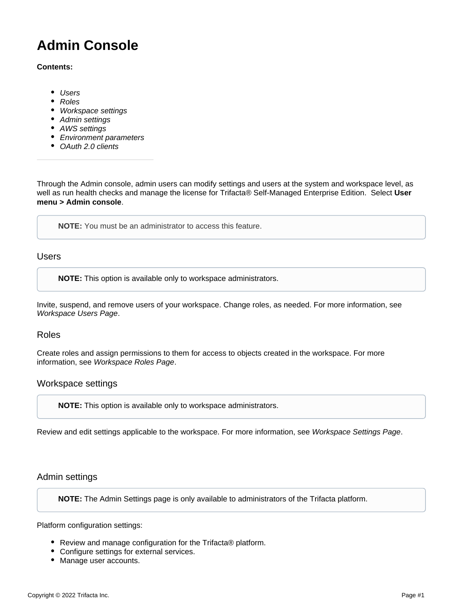# **Admin Console**

#### **Contents:**

- [Users](#page-0-0)
- [Roles](#page-0-1)
- [Workspace settings](#page-0-2)
- [Admin settings](#page-0-3)
- [AWS settings](#page-1-0)
- **•** [Environment parameters](#page-1-1)
- [OAuth 2.0 clients](#page-1-2)

Through the Admin console, admin users can modify settings and users at the system and workspace level, as well as run health checks and manage the license for Trifacta® Self-Managed Enterprise Edition. Select **User menu > Admin console**.

**NOTE:** You must be an administrator to access this feature.

<span id="page-0-0"></span>Users

**NOTE:** This option is available only to workspace administrators.

Invite, suspend, and remove users of your workspace. Change roles, as needed. For more information, see [Workspace Users Page](https://docs.trifacta.com/display/r087/Workspace+Users+Page).

#### <span id="page-0-1"></span>Roles

Create roles and assign permissions to them for access to objects created in the workspace. For more information, see [Workspace Roles Page](https://docs.trifacta.com/display/r087/Workspace+Roles+Page).

## <span id="page-0-2"></span>Workspace settings

**NOTE:** This option is available only to workspace administrators.

Review and edit settings applicable to the workspace. For more information, see [Workspace Settings Page](https://docs.trifacta.com/display/r087/Workspace+Settings+Page).

#### <span id="page-0-3"></span>Admin settings

**NOTE:** The Admin Settings page is only available to administrators of the Trifacta platform.

Platform configuration settings:

- Review and manage configuration for the Trifacta<sup>®</sup> platform.
- Configure settings for external services.
- Manage user accounts.